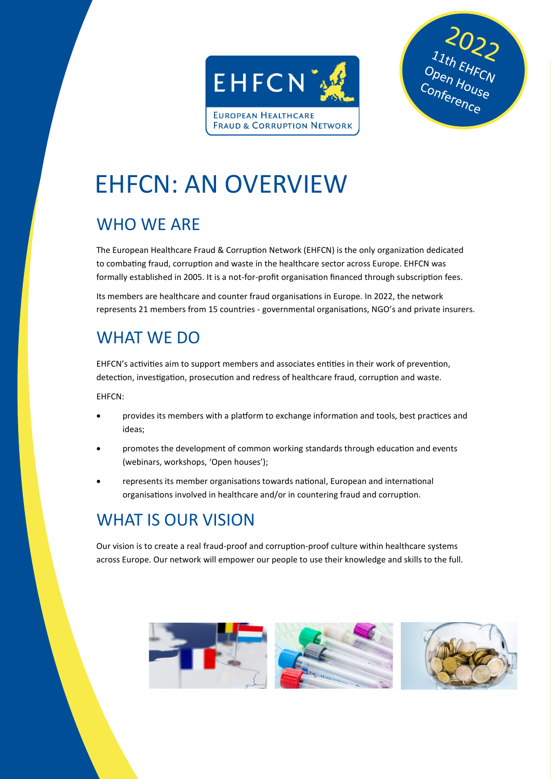



# EHFCN: AN OVERVIEW

# WHO WE ARE

The European Healthcare Fraud & Corruption Network (EHFCN) is the only organization dedicated to combating fraud, corruption and waste in the healthcare sector across Europe. EHFCN was formally established in 2005. It is a not-for-profit organisation financed through subscription fees.

Its members are healthcare and counter fraud organisations in Europe. In 2022, the network represents 21 members from 15 countries - governmental organisations, NGO's and private insurers.

## WHAT WE DO

EHFCN's activities aim to support members and associates entities in their work of prevention, detection, investigation, prosecution and redress of healthcare fraud, corruption and waste.

EHFCN:

- provides its members with a platform to exchange information and tools, best practices and ideas;
- promotes the development of common working standards through education and events (webinars, workshops, 'Open houses');
- represents its member organisations towards national, European and international organisations involved in healthcare and/or in countering fraud and corruption.

### WHAT IS OUR VISION

Our vision is to create a real fraud-proof and corruption-proof culture within healthcare systems across Europe. Our network will empower our people to use their knowledge and skills to the full.